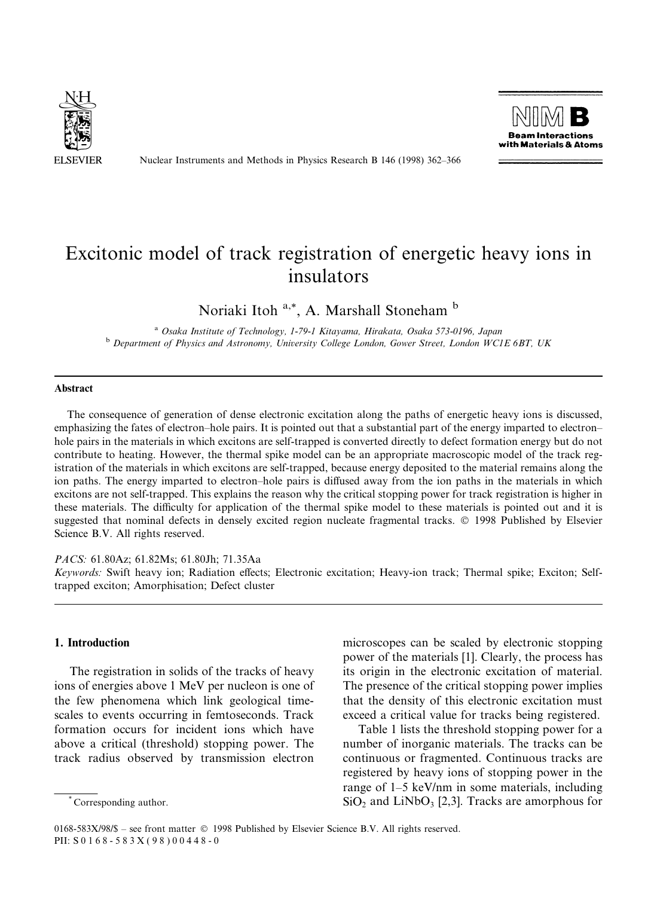

Nuclear Instruments and Methods in Physics Research B 146 (1998) 362-366



# Excitonic model of track registration of energetic heavy ions in insulators

Noriaki Itoh<sup>a,\*</sup>, A. Marshall Stoneham<sup>b</sup>

<sup>a</sup> Osaka Institute of Technology, 1-79-1 Kitayama, Hirakata, Osaka 573-0196, Japan<br><sup>b</sup> Department of Physics and Astronomy, University College London, Gower Street, London WC1E 6BT, UK

#### Abstract

The consequence of generation of dense electronic excitation along the paths of energetic heavy ions is discussed, emphasizing the fates of electron-hole pairs. It is pointed out that a substantial part of the energy imparted to electronhole pairs in the materials in which excitons are self-trapped is converted directly to defect formation energy but do not contribute to heating. However, the thermal spike model can be an appropriate macroscopic model of the track registration of the materials in which excitons are self-trapped, because energy deposited to the material remains along the ion paths. The energy imparted to electron-hole pairs is diffused away from the ion paths in the materials in which excitons are not self-trapped. This explains the reason why the critical stopping power for track registration is higher in these materials. The difficulty for application of the thermal spike model to these materials is pointed out and it is suggested that nominal defects in densely excited region nucleate fragmental tracks. © 1998 Published by Elsevier Science B.V. All rights reserved.

## PACS: 61.80Az; 61.82Ms; 61.80Jh; 71.35Aa

Keywords: Swift heavy ion; Radiation effects; Electronic excitation; Heavy-ion track; Thermal spike; Exciton; Selftrapped exciton; Amorphisation; Defect cluster

### 1. Introduction

The registration in solids of the tracks of heavy ions of energies above 1 MeV per nucleon is one of the few phenomena which link geological timescales to events occurring in femtoseconds. Track formation occurs for incident ions which have above a critical (threshold) stopping power. The track radius observed by transmission electron

microscopes can be scaled by electronic stopping power of the materials [1]. Clearly, the process has its origin in the electronic excitation of material. The presence of the critical stopping power implies that the density of this electronic excitation must exceed a critical value for tracks being registered.

Table 1 lists the threshold stopping power for a number of inorganic materials. The tracks can be continuous or fragmented. Continuous tracks are registered by heavy ions of stopping power in the range of  $1-5$  keV/nm in some materials, including  $SiO<sub>2</sub>$  and LiNbO<sub>3</sub> [2,3]. Tracks are amorphous for

<sup>\*</sup> Corresponding author.

<sup>0168-583</sup>X/98/\$ - see front matter © 1998 Published by Elsevier Science B.V. All rights reserved. PII: S 0 1 6 8 - 5 8 3 X ( 9 8 ) 0 0 4 4 8 - 0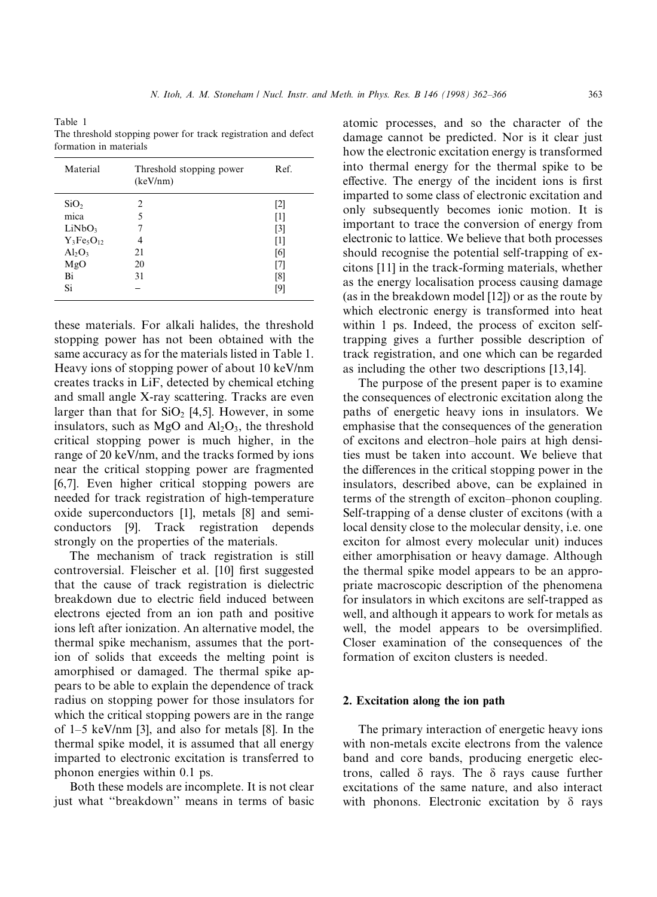$N.$  Itoh,  $A.$   $M.$  Stoneham / Nucl. Instr. and Meth. in Phys. Res. B 146 (1998) 362-366 363

Table 1 The threshold stopping power for track registration and defect formation in materials

| Material           | Threshold stopping power<br>(keV/nm) | Ref.              |
|--------------------|--------------------------------------|-------------------|
| SiO <sub>2</sub>   | $\mathfrak{D}$                       | [2]               |
| mica               | 5                                    | [1]               |
| LiNbO <sub>3</sub> |                                      | $\lceil 3 \rceil$ |
| $Y_3Fe_5O_{12}$    | 4                                    | [1]               |
| $Al_2O_3$          | 21                                   | [6]               |
| MgO                | 20                                   | [7]               |
| Bi                 | 31                                   | [8]               |
| Si                 |                                      | [9]               |

these materials. For alkali halides, the threshold stopping power has not been obtained with the same accuracy as for the materials listed in Table 1. Heavy ions of stopping power of about 10 keV/nm creates tracks in LiF, detected by chemical etching and small angle X-ray scattering. Tracks are even larger than that for  $SiO<sub>2</sub>$  [4,5]. However, in some insulators, such as  $MgO$  and  $Al<sub>2</sub>O<sub>3</sub>$ , the threshold critical stopping power is much higher, in the range of 20 keV/nm, and the tracks formed by ions near the critical stopping power are fragmented [6,7]. Even higher critical stopping powers are needed for track registration of high-temperature oxide superconductors [1], metals [8] and semiconductors [9]. Track registration depends strongly on the properties of the materials.

The mechanism of track registration is still controversial. Fleischer et al. [10] first suggested that the cause of track registration is dielectric breakdown due to electric field induced between electrons ejected from an ion path and positive ions left after ionization. An alternative model, the thermal spike mechanism, assumes that the portion of solids that exceeds the melting point is amorphised or damaged. The thermal spike appears to be able to explain the dependence of track radius on stopping power for those insulators for which the critical stopping powers are in the range of  $1-5$  keV/nm [3], and also for metals [8]. In the thermal spike model, it is assumed that all energy imparted to electronic excitation is transferred to phonon energies within 0.1 ps.

Both these models are incomplete. It is not clear just what "breakdown" means in terms of basic

atomic processes, and so the character of the damage cannot be predicted. Nor is it clear just how the electronic excitation energy is transformed into thermal energy for the thermal spike to be effective. The energy of the incident ions is first imparted to some class of electronic excitation and only subsequently becomes ionic motion. It is important to trace the conversion of energy from electronic to lattice. We believe that both processes should recognise the potential self-trapping of excitons [11] in the track-forming materials, whether as the energy localisation process causing damage (as in the breakdown model [12]) or as the route by which electronic energy is transformed into heat within 1 ps. Indeed, the process of exciton selftrapping gives a further possible description of track registration, and one which can be regarded as including the other two descriptions [13,14].

The purpose of the present paper is to examine the consequences of electronic excitation along the paths of energetic heavy ions in insulators. We emphasise that the consequences of the generation of excitons and electron-hole pairs at high densities must be taken into account. We believe that the differences in the critical stopping power in the insulators, described above, can be explained in terms of the strength of exciton-phonon coupling. Self-trapping of a dense cluster of excitons (with a local density close to the molecular density, i.e. one exciton for almost every molecular unit) induces either amorphisation or heavy damage. Although the thermal spike model appears to be an appropriate macroscopic description of the phenomena for insulators in which excitons are self-trapped as well, and although it appears to work for metals as well, the model appears to be oversimplified. Closer examination of the consequences of the formation of exciton clusters is needed.

# 2. Excitation along the ion path

The primary interaction of energetic heavy ions with non-metals excite electrons from the valence band and core bands, producing energetic electrons, called  $\delta$  rays. The  $\delta$  rays cause further excitations of the same nature, and also interact with phonons. Electronic excitation by  $\delta$  rays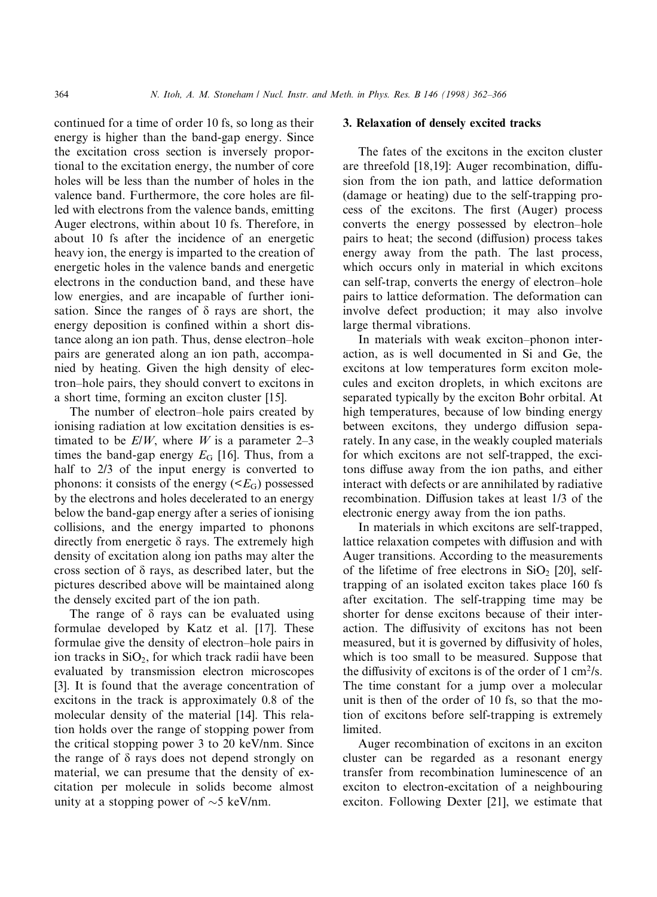continued for a time of order 10 fs, so long as their energy is higher than the band-gap energy. Since the excitation cross section is inversely proportional to the excitation energy, the number of core holes will be less than the number of holes in the valence band. Furthermore, the core holes are filled with electrons from the valence bands, emitting Auger electrons, within about 10 fs. Therefore, in about 10 fs after the incidence of an energetic heavy ion, the energy is imparted to the creation of energetic holes in the valence bands and energetic electrons in the conduction band, and these have low energies, and are incapable of further ionisation. Since the ranges of  $\delta$  rays are short, the energy deposition is confined within a short distance along an ion path. Thus, dense electron-hole pairs are generated along an ion path, accompanied by heating. Given the high density of electron±hole pairs, they should convert to excitons in a short time, forming an exciton cluster [15].

The number of electron–hole pairs created by ionising radiation at low excitation densities is estimated to be  $E/W$ , where W is a parameter 2–3 times the band-gap energy  $E_G$  [16]. Thus, from a half to 2/3 of the input energy is converted to phonons: it consists of the energy  $(*E*<sub>G</sub>)$  possessed by the electrons and holes decelerated to an energy below the band-gap energy after a series of ionising collisions, and the energy imparted to phonons directly from energetic  $\delta$  rays. The extremely high density of excitation along ion paths may alter the cross section of  $\delta$  rays, as described later, but the pictures described above will be maintained along the densely excited part of the ion path.

The range of  $\delta$  rays can be evaluated using formulae developed by Katz et al. [17]. These formulae give the density of electron-hole pairs in ion tracks in  $SiO<sub>2</sub>$ , for which track radii have been evaluated by transmission electron microscopes [3]. It is found that the average concentration of excitons in the track is approximately 0.8 of the molecular density of the material [14]. This relation holds over the range of stopping power from the critical stopping power 3 to 20 keV/nm. Since the range of  $\delta$  rays does not depend strongly on material, we can presume that the density of excitation per molecule in solids become almost unity at a stopping power of  $\sim$ 5 keV/nm.

## 3. Relaxation of densely excited tracks

The fates of the excitons in the exciton cluster are threefold [18,19]: Auger recombination, diffusion from the ion path, and lattice deformation (damage or heating) due to the self-trapping process of the excitons. The first (Auger) process converts the energy possessed by electron-hole pairs to heat; the second (diffusion) process takes energy away from the path. The last process, which occurs only in material in which excitons can self-trap, converts the energy of electron-hole pairs to lattice deformation. The deformation can involve defect production; it may also involve large thermal vibrations.

In materials with weak exciton-phonon interaction, as is well documented in Si and Ge, the excitons at low temperatures form exciton molecules and exciton droplets, in which excitons are separated typically by the exciton Bohr orbital. At high temperatures, because of low binding energy between excitons, they undergo diffusion separately. In any case, in the weakly coupled materials for which excitons are not self-trapped, the excitons diffuse away from the ion paths, and either interact with defects or are annihilated by radiative recombination. Diffusion takes at least 1/3 of the electronic energy away from the ion paths.

In materials in which excitons are self-trapped, lattice relaxation competes with diffusion and with Auger transitions. According to the measurements of the lifetime of free electrons in  $SiO<sub>2</sub>$  [20], selftrapping of an isolated exciton takes place 160 fs after excitation. The self-trapping time may be shorter for dense excitons because of their interaction. The diffusivity of excitons has not been measured, but it is governed by diffusivity of holes, which is too small to be measured. Suppose that the diffusivity of excitons is of the order of  $1 \text{ cm}^2/\text{s}$ . The time constant for a jump over a molecular unit is then of the order of 10 fs, so that the motion of excitons before self-trapping is extremely limited.

Auger recombination of excitons in an exciton cluster can be regarded as a resonant energy transfer from recombination luminescence of an exciton to electron-excitation of a neighbouring exciton. Following Dexter [21], we estimate that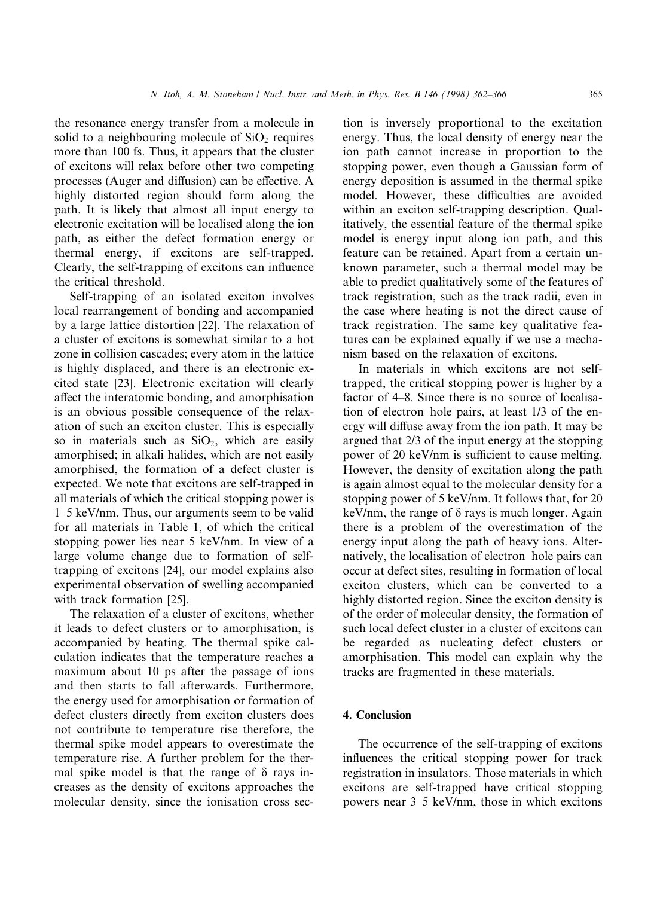the resonance energy transfer from a molecule in solid to a neighbouring molecule of  $SiO<sub>2</sub>$  requires more than 100 fs. Thus, it appears that the cluster of excitons will relax before other two competing processes (Auger and diffusion) can be effective. A highly distorted region should form along the path. It is likely that almost all input energy to electronic excitation will be localised along the ion path, as either the defect formation energy or thermal energy, if excitons are self-trapped. Clearly, the self-trapping of excitons can influence the critical threshold.

Self-trapping of an isolated exciton involves local rearrangement of bonding and accompanied by a large lattice distortion [22]. The relaxation of a cluster of excitons is somewhat similar to a hot zone in collision cascades; every atom in the lattice is highly displaced, and there is an electronic excited state [23]. Electronic excitation will clearly affect the interatomic bonding, and amorphisation is an obvious possible consequence of the relaxation of such an exciton cluster. This is especially so in materials such as  $SiO<sub>2</sub>$ , which are easily amorphised; in alkali halides, which are not easily amorphised, the formation of a defect cluster is expected. We note that excitons are self-trapped in all materials of which the critical stopping power is  $1-5$  keV/nm. Thus, our arguments seem to be valid for all materials in Table 1, of which the critical stopping power lies near 5 keV/nm. In view of a large volume change due to formation of selftrapping of excitons [24], our model explains also experimental observation of swelling accompanied with track formation [25].

The relaxation of a cluster of excitons, whether it leads to defect clusters or to amorphisation, is accompanied by heating. The thermal spike calculation indicates that the temperature reaches a maximum about 10 ps after the passage of ions and then starts to fall afterwards. Furthermore, the energy used for amorphisation or formation of defect clusters directly from exciton clusters does not contribute to temperature rise therefore, the thermal spike model appears to overestimate the temperature rise. A further problem for the thermal spike model is that the range of  $\delta$  rays increases as the density of excitons approaches the molecular density, since the ionisation cross sec-

tion is inversely proportional to the excitation energy. Thus, the local density of energy near the ion path cannot increase in proportion to the stopping power, even though a Gaussian form of energy deposition is assumed in the thermal spike model. However, these difficulties are avoided within an exciton self-trapping description. Qualitatively, the essential feature of the thermal spike model is energy input along ion path, and this feature can be retained. Apart from a certain unknown parameter, such a thermal model may be able to predict qualitatively some of the features of track registration, such as the track radii, even in the case where heating is not the direct cause of track registration. The same key qualitative features can be explained equally if we use a mechanism based on the relaxation of excitons.

In materials in which excitons are not selftrapped, the critical stopping power is higher by a factor of 4–8. Since there is no source of localisation of electron-hole pairs, at least 1/3 of the energy will diffuse away from the ion path. It may be argued that 2/3 of the input energy at the stopping power of 20 keV/nm is sufficient to cause melting. However, the density of excitation along the path is again almost equal to the molecular density for a stopping power of 5 keV/nm. It follows that, for 20 keV/nm, the range of  $\delta$  rays is much longer. Again there is a problem of the overestimation of the energy input along the path of heavy ions. Alternatively, the localisation of electron-hole pairs can occur at defect sites, resulting in formation of local exciton clusters, which can be converted to a highly distorted region. Since the exciton density is of the order of molecular density, the formation of such local defect cluster in a cluster of excitons can be regarded as nucleating defect clusters or amorphisation. This model can explain why the tracks are fragmented in these materials.

# 4. Conclusion

The occurrence of the self-trapping of excitons influences the critical stopping power for track registration in insulators. Those materials in which excitons are self-trapped have critical stopping powers near  $3-5$  keV/nm, those in which excitons